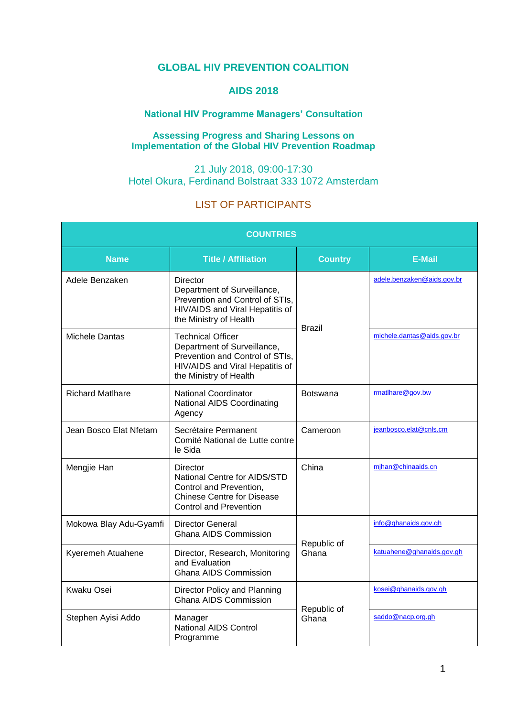## **GLOBAL HIV PREVENTION COALITION**

# **AIDS 2018**

## **National HIV Programme Managers' Consultation**

#### **Assessing Progress and Sharing Lessons on Implementation of the Global HIV Prevention Roadmap**

### 21 July 2018, 09:00-17:30 Hotel Okura, Ferdinand Bolstraat 333 1072 Amsterdam

# LIST OF PARTICIPANTS

| <b>COUNTRIES</b>        |                                                                                                                                                         |                      |                            |  |  |
|-------------------------|---------------------------------------------------------------------------------------------------------------------------------------------------------|----------------------|----------------------------|--|--|
| <b>Name</b>             | <b>Title / Affiliation</b>                                                                                                                              | <b>Country</b>       | <b>E-Mail</b>              |  |  |
| Adele Benzaken          | Director<br>Department of Surveillance,<br>Prevention and Control of STIs,<br>HIV/AIDS and Viral Hepatitis of<br>the Ministry of Health                 | <b>Brazil</b>        | adele.benzaken@aids.gov.br |  |  |
| <b>Michele Dantas</b>   | <b>Technical Officer</b><br>Department of Surveillance,<br>Prevention and Control of STIs,<br>HIV/AIDS and Viral Hepatitis of<br>the Ministry of Health |                      | michele.dantas@aids.gov.br |  |  |
| <b>Richard Matlhare</b> | <b>National Coordinator</b><br><b>National AIDS Coordinating</b><br>Agency                                                                              | <b>Botswana</b>      | rmatlhare@gov.bw           |  |  |
| Jean Bosco Elat Nfetam  | Secrétaire Permanent<br>Comité National de Lutte contre<br>le Sida                                                                                      | Cameroon             | jeanbosco.elat@cnls.cm     |  |  |
| Mengjie Han             | Director<br>National Centre for AIDS/STD<br>Control and Prevention,<br><b>Chinese Centre for Disease</b><br><b>Control and Prevention</b>               | China                | mihan@chinaaids.cn         |  |  |
| Mokowa Blay Adu-Gyamfi  | Director General<br><b>Ghana AIDS Commission</b>                                                                                                        | Republic of<br>Ghana | info@ghanaids.gov.gh       |  |  |
| Kyeremeh Atuahene       | Director, Research, Monitoring<br>and Evaluation<br><b>Ghana AIDS Commission</b>                                                                        |                      | katuahene@ghanaids.gov.gh  |  |  |
| <b>Kwaku Osei</b>       | Director Policy and Planning<br>Ghana AIDS Commission                                                                                                   | Republic of<br>Ghana | kosei@ghanaids.gov.gh      |  |  |
| Stephen Ayisi Addo      | Manager<br><b>National AIDS Control</b><br>Programme                                                                                                    |                      | saddo@nacp.org.gh          |  |  |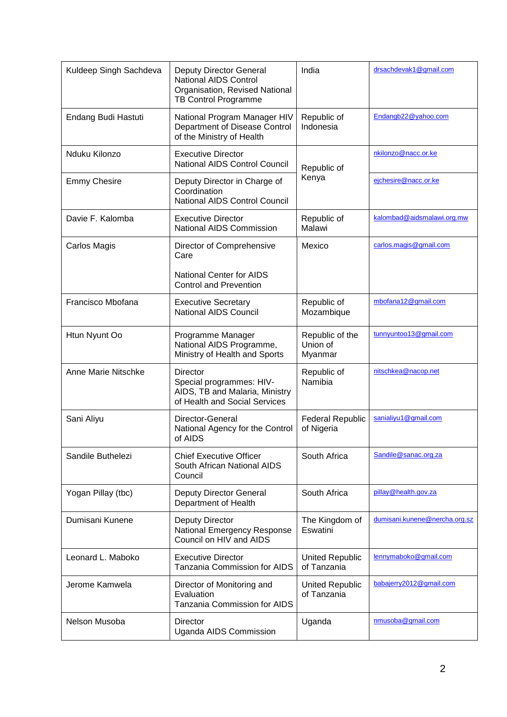| Kuldeep Singh Sachdeva | <b>Deputy Director General</b><br><b>National AIDS Control</b><br>Organisation, Revised National<br>TB Control Programme | India                                  | drsachdevak1@gmail.com        |
|------------------------|--------------------------------------------------------------------------------------------------------------------------|----------------------------------------|-------------------------------|
| Endang Budi Hastuti    | National Program Manager HIV<br>Department of Disease Control<br>of the Ministry of Health                               | Republic of<br>Indonesia               | Endangb22@yahoo.com           |
| Nduku Kilonzo          | <b>Executive Director</b><br><b>National AIDS Control Council</b>                                                        | Republic of<br>Kenya                   | nkilonzo@nacc.or.ke           |
| <b>Emmy Chesire</b>    | Deputy Director in Charge of<br>Coordination<br><b>National AIDS Control Council</b>                                     |                                        | ejchesire@nacc.or.ke          |
| Davie F. Kalomba       | <b>Executive Director</b><br>National AIDS Commission                                                                    | Republic of<br>Malawi                  | kalombad@aidsmalawi.org.mw    |
| Carlos Magis           | Director of Comprehensive<br>Care                                                                                        | Mexico                                 | carlos.magis@gmail.com        |
|                        | <b>National Center for AIDS</b><br><b>Control and Prevention</b>                                                         |                                        |                               |
| Francisco Mbofana      | <b>Executive Secretary</b><br>National AIDS Council                                                                      | Republic of<br>Mozambique              | mbofana12@gmail.com           |
| Htun Nyunt Oo          | Programme Manager<br>National AIDS Programme,<br>Ministry of Health and Sports                                           | Republic of the<br>Union of<br>Myanmar | tunnyuntoo13@gmail.com        |
| Anne Marie Nitschke    | Director<br>Special programmes: HIV-<br>AIDS, TB and Malaria, Ministry<br>of Health and Social Services                  | Republic of<br>Namibia                 | nitschkea@nacop.net           |
| Sani Aliyu             | Director-General<br>National Agency for the Control<br>of AIDS                                                           | <b>Federal Republic</b><br>of Nigeria  | sanialiyu1@gmail.com          |
| Sandile Buthelezi      | <b>Chief Executive Officer</b><br>South African National AIDS<br>Council                                                 | South Africa                           | Sandile@sanac.org.za          |
| Yogan Pillay (tbc)     | <b>Deputy Director General</b><br>Department of Health                                                                   | South Africa                           | pillay@health.gov.za          |
| Dumisani Kunene        | <b>Deputy Director</b><br>National Emergency Response<br>Council on HIV and AIDS                                         | The Kingdom of<br>Eswatini             | dumisani.kunene@nercha.org.sz |
| Leonard L. Maboko      | <b>Executive Director</b><br>Tanzania Commission for AIDS                                                                | <b>United Republic</b><br>of Tanzania  | lennymaboko@gmail.com         |
| Jerome Kamwela         | Director of Monitoring and<br>Evaluation<br>Tanzania Commission for AIDS                                                 | <b>United Republic</b><br>of Tanzania  | babajerry2012@gmail.com       |
| Nelson Musoba          | Director<br>Uganda AIDS Commission                                                                                       | Uganda                                 | nmusoba@gmail.com             |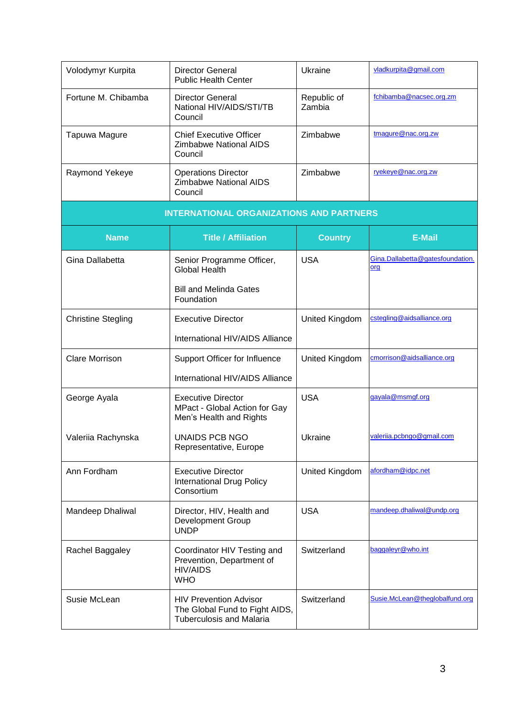| Volodymyr Kurpita         | <b>Director General</b><br><b>Public Health Center</b>                                             | Ukraine               | vladkurpita@gmail.com                   |  |  |  |
|---------------------------|----------------------------------------------------------------------------------------------------|-----------------------|-----------------------------------------|--|--|--|
| Fortune M. Chibamba       | <b>Director General</b><br>National HIV/AIDS/STI/TB<br>Council                                     | Republic of<br>Zambia | fchibamba@nacsec.org.zm                 |  |  |  |
| Tapuwa Magure             | <b>Chief Executive Officer</b><br><b>Zimbabwe National AIDS</b><br>Council                         | Zimbabwe              | tmagure@nac.org.zw                      |  |  |  |
| Raymond Yekeye            | <b>Operations Director</b><br><b>Zimbabwe National AIDS</b><br>Council                             | Zimbabwe              | ryekeye@nac.org.zw                      |  |  |  |
|                           | <b>INTERNATIONAL ORGANIZATIONS AND PARTNERS</b>                                                    |                       |                                         |  |  |  |
| <b>Name</b>               | <b>Title / Affiliation</b>                                                                         | <b>Country</b>        | <b>E-Mail</b>                           |  |  |  |
| Gina Dallabetta           | Senior Programme Officer,<br><b>Global Health</b>                                                  | <b>USA</b>            | Gina.Dallabetta@gatesfoundation.<br>org |  |  |  |
|                           | <b>Bill and Melinda Gates</b><br>Foundation                                                        |                       |                                         |  |  |  |
| <b>Christine Stegling</b> | <b>Executive Director</b>                                                                          | <b>United Kingdom</b> | cstegling@aidsalliance.org              |  |  |  |
|                           | International HIV/AIDS Alliance                                                                    |                       |                                         |  |  |  |
| <b>Clare Morrison</b>     | Support Officer for Influence                                                                      | United Kingdom        | cmorrison@aidsalliance.org              |  |  |  |
|                           | International HIV/AIDS Alliance                                                                    |                       |                                         |  |  |  |
| George Ayala              | <b>Executive Director</b><br>MPact - Global Action for Gay<br>Men's Health and Rights              | <b>USA</b>            | gayala@msmgf.org                        |  |  |  |
| Valeriia Rachynska        | <b>UNAIDS PCB NGO</b><br>Representative, Europe                                                    | Ukraine               | valeriia.pcbngo@gmail.com               |  |  |  |
| Ann Fordham               | <b>Executive Director</b><br><b>International Drug Policy</b><br>Consortium                        | United Kingdom        | afordham@idpc.net                       |  |  |  |
| Mandeep Dhaliwal          | Director, HIV, Health and<br><b>Development Group</b><br><b>UNDP</b>                               | <b>USA</b>            | mandeep.dhaliwal@undp.org               |  |  |  |
| Rachel Baggaley           | Coordinator HIV Testing and<br>Prevention, Department of<br><b>HIV/AIDS</b><br><b>WHO</b>          | Switzerland           | baggaleyr@who.int                       |  |  |  |
| Susie McLean              | <b>HIV Prevention Advisor</b><br>The Global Fund to Fight AIDS,<br><b>Tuberculosis and Malaria</b> | Switzerland           | Susie.McLean@theglobalfund.org          |  |  |  |